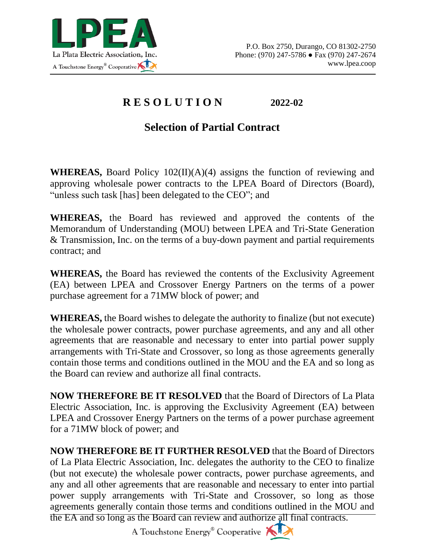

## **R E S O L U T I O N 2022-02**

## **Selection of Partial Contract**

**WHEREAS,** Board Policy 102(II)(A)(4) assigns the function of reviewing and approving wholesale power contracts to the LPEA Board of Directors (Board), "unless such task [has] been delegated to the CEO"; and

**WHEREAS,** the Board has reviewed and approved the contents of the Memorandum of Understanding (MOU) between LPEA and Tri-State Generation & Transmission, Inc. on the terms of a buy-down payment and partial requirements contract; and

**WHEREAS,** the Board has reviewed the contents of the Exclusivity Agreement (EA) between LPEA and Crossover Energy Partners on the terms of a power purchase agreement for a 71MW block of power; and

**WHEREAS,** the Board wishes to delegate the authority to finalize (but not execute) the wholesale power contracts, power purchase agreements, and any and all other agreements that are reasonable and necessary to enter into partial power supply arrangements with Tri-State and Crossover, so long as those agreements generally contain those terms and conditions outlined in the MOU and the EA and so long as the Board can review and authorize all final contracts.

**NOW THEREFORE BE IT RESOLVED** that the Board of Directors of La Plata Electric Association, Inc. is approving the Exclusivity Agreement (EA) between LPEA and Crossover Energy Partners on the terms of a power purchase agreement for a 71MW block of power; and

**NOW THEREFORE BE IT FURTHER RESOLVED** that the Board of Directors of La Plata Electric Association, Inc. delegates the authority to the CEO to finalize (but not execute) the wholesale power contracts, power purchase agreements, and any and all other agreements that are reasonable and necessary to enter into partial power supply arrangements with Tri-State and Crossover, so long as those agreements generally contain those terms and conditions outlined in the MOU and the EA and so long as the Board can review and authorize all final contracts.